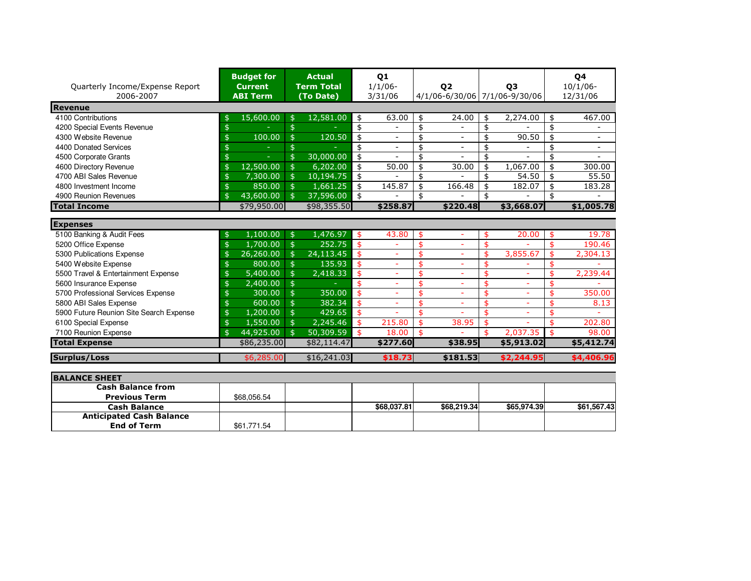| Quarterly Income/Expense Report<br>2006-2007 | <b>Budget for</b><br><b>Current</b><br><b>ABI Term</b> | <b>Actual</b><br><b>Term Total</b><br>(To Date) | Q <sub>1</sub><br>$1/1/06$ -<br>3/31/06 | 02                             | <b>Q3</b><br>4/1/06-6/30/06 7/1/06-9/30/06 | 04<br>$10/1/06$ -<br>12/31/06 |
|----------------------------------------------|--------------------------------------------------------|-------------------------------------------------|-----------------------------------------|--------------------------------|--------------------------------------------|-------------------------------|
| Revenue                                      |                                                        |                                                 |                                         |                                |                                            |                               |
| 4100 Contributions                           | 15,600.00<br>\$                                        | 12,581.00<br>$\frac{4}{5}$                      | 63.00<br>\$                             | 24.00<br>\$                    | 2,274.00<br>\$                             | 467.00<br>\$                  |
| 4200 Special Events Revenue                  | \$                                                     | \$                                              | \$                                      | \$<br>$\overline{a}$           | \$                                         | \$                            |
| 4300 Website Revenue                         | 100.00<br>\$                                           | $\ddot{\mathsf{s}}$<br>120.50                   | \$                                      | \$<br>$\overline{\phantom{a}}$ | 90.50<br>\$                                | \$                            |
| 4400 Donated Services                        |                                                        | \$                                              | \$<br>$\overline{\phantom{0}}$          | \$<br>$\overline{\phantom{a}}$ | \$                                         | \$                            |
| 4500 Corporate Grants                        | \$                                                     | 30,000.00<br>$\frac{4}{5}$                      | \$                                      | \$                             | \$                                         | \$                            |
| 4600 Directory Revenue                       | 12,500.00<br>\$                                        | $\mathfrak{s}$<br>6,202.00                      | 50.00<br>\$                             | 30.00<br>\$                    | 1,067.00<br>\$                             | \$<br>300.00                  |
| 4700 ABI Sales Revenue                       | 7,300.00<br>\$                                         | $\frac{1}{2}$<br>10,194.75                      | \$                                      | \$                             | 54.50<br>\$                                | 55.50<br>\$                   |
| 4800 Investment Income                       | 850.00<br>\$                                           | $\mathfrak{S}$<br>1,661.25                      | 145.87<br>\$                            | \$<br>166.48                   | \$<br>182.07                               | \$<br>183.28                  |
| 4900 Reunion Revenues                        | 43,600.00<br>\$                                        | 37,596.00<br>$\frac{4}{5}$                      | \$                                      | \$                             | \$                                         | \$                            |
| <b>Total Income</b>                          | \$79,950.00                                            | \$98,355.50                                     | \$258.87                                | \$220.48                       | \$3,668.07                                 | \$1,005.78                    |
| <b>Expenses</b>                              |                                                        |                                                 |                                         |                                |                                            |                               |
| 5100 Banking & Audit Fees                    | 1,100.00<br>\$                                         | 1,476.97<br>$\frac{4}{5}$                       | 43.80<br>\$                             | \$<br>÷                        | 20.00<br>\$                                | 19.78<br>\$                   |
| 5200 Office Expense                          | 1,700.00<br>\$                                         | 252.75<br>$\frac{4}{5}$                         | \$<br>÷                                 | \$<br>÷,                       | \$                                         | 190.46<br>\$                  |
| 5300 Publications Expense                    | 26,260.00<br>\$                                        | $\frac{1}{2}$<br>24,113.45                      | \$                                      | \$<br>÷,                       | 3,855.67<br>\$                             | \$<br>2,304.13                |
| 5400 Website Expense                         | 800.00<br>\$                                           | $\frac{1}{2}$<br>135.93                         | \$<br>÷                                 | \$<br>$\overline{\phantom{0}}$ | \$                                         | \$                            |
| 5500 Travel & Entertainment Expense          | 5,400.00<br>\$                                         | $\hat{z}$<br>2,418.33                           | \$<br>÷                                 | \$<br>÷,                       | \$<br>÷.                                   | 2,239.44<br>\$                |
| 5600 Insurance Expense                       | \$<br>2,400.00                                         | $\frac{1}{2}$                                   | \$                                      | \$                             | \$                                         | \$                            |
| 5700 Professional Services Expense           | 300.00<br>\$                                           | $\ddot{\mathsf{s}}$<br>350.00                   | \$<br>÷                                 | \$<br>÷,                       | \$<br>÷                                    | 350.00<br>\$                  |
| 5800 ABI Sales Expense                       | 600.00<br>\$                                           | 382.34<br>\$                                    | \$                                      | \$<br>÷,                       | \$                                         | \$<br>8.13                    |
| 5900 Future Reunion Site Search Expense      | \$<br>1,200.00                                         | \$<br>429.65                                    | \$                                      | \$<br>$\overline{\phantom{0}}$ | \$<br>٠                                    | \$                            |
| 6100 Special Expense                         | 1,550.00<br>\$                                         | $\frac{1}{2}$<br>2,245.46                       | 215.80                                  | \$<br>38.95                    | \$                                         | 202.80<br>\$                  |
| 7100 Reunion Expense                         | 44,925.00<br>\$                                        | $\mathfrak{s}$<br>50,309.59                     | 18.00<br>\$                             | \$                             | \$<br>2,037.35                             | 98.00<br>\$                   |
| <b>Total Expense</b>                         | \$86,235.00                                            | \$82,114.47                                     | \$277.60                                | \$38.95                        | \$5,913.02                                 | \$5,412.74                    |
| <b>Surplus/Loss</b>                          | \$6,285.00                                             | \$16,241.03                                     | \$18.73                                 | \$181.53                       | \$2,244.95                                 | \$4,406.96                    |

| <b>BALANCE SHEET</b>            |             |             |             |             |             |
|---------------------------------|-------------|-------------|-------------|-------------|-------------|
| <b>Cash Balance from</b>        |             |             |             |             |             |
| <b>Previous Term</b>            | \$68,056.54 |             |             |             |             |
| <b>Cash Balance</b>             |             | \$68,037.81 | \$68,219.34 | \$65.974.39 | \$61,567.43 |
| <b>Anticipated Cash Balance</b> |             |             |             |             |             |
| <b>End of Term</b>              | \$61.771.54 |             |             |             |             |
|                                 |             |             |             |             |             |